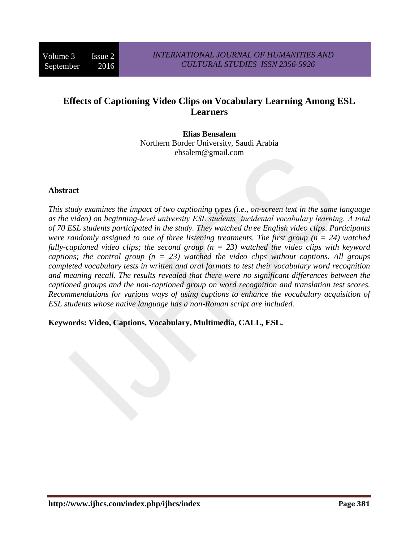# **Effects of Captioning Video Clips on Vocabulary Learning Among ESL Learners**

**Elias Bensalem** Northern Border University, Saudi Arabia ebsalem@gmail.com

#### **Abstract**

*This study examines the impact of two captioning types (i.e., on-screen text in the same language as the video) on beginning-level university ESL students' incidental vocabulary learning. A total of 70 ESL students participated in the study. They watched three English video clips. Participants were randomly assigned to one of three listening treatments. The first group (n = 24) watched fully-captioned video clips; the second group (n = 23) watched the video clips with keyword captions; the control group (n = 23) watched the video clips without captions. All groups completed vocabulary tests in written and oral formats to test their vocabulary word recognition and meaning recall. The results revealed that there were no significant differences between the captioned groups and the non-captioned group on word recognition and translation test scores. Recommendations for various ways of using captions to enhance the vocabulary acquisition of ESL students whose native language has a non-Roman script are included.*

**Keywords: Video, Captions, Vocabulary, Multimedia, CALL, ESL.**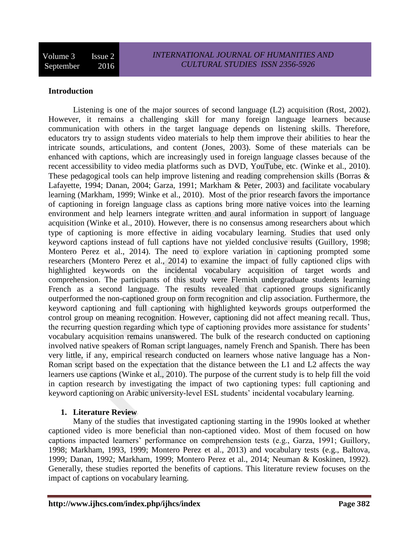Volume 3 Issue 2 September 2016

#### **Introduction**

Listening is one of the major sources of second language (L2) acquisition (Rost, 2002). However, it remains a challenging skill for many foreign language learners because communication with others in the target language depends on listening skills. Therefore, educators try to assign students video materials to help them improve their abilities to hear the intricate sounds, articulations, and content (Jones, 2003). Some of these materials can be enhanced with captions, which are increasingly used in foreign language classes because of the recent accessibility to video media platforms such as DVD, YouTube, etc. (Winke et al., 2010). These pedagogical tools can help improve listening and reading comprehension skills (Borras & Lafayette, 1994; Danan, 2004; Garza, 1991; Markham & Peter, 2003) and facilitate vocabulary learning (Markham, 1999; Winke et al., 2010). Most of the prior research favors the importance of captioning in foreign language class as captions bring more native voices into the learning environment and help learners integrate written and aural information in support of language acquisition (Winke et al., 2010). However, there is no consensus among researchers about which type of captioning is more effective in aiding vocabulary learning. Studies that used only keyword captions instead of full captions have not yielded conclusive results (Guillory, 1998; Montero Perez et al., 2014). The need to explore variation in captioning prompted some researchers (Montero Perez et al., 2014) to examine the impact of fully captioned clips with highlighted keywords on the incidental vocabulary acquisition of target words and comprehension. The participants of this study were Flemish undergraduate students learning French as a second language. The results revealed that captioned groups significantly outperformed the non-captioned group on form recognition and clip association. Furthermore, the keyword captioning and full captioning with highlighted keywords groups outperformed the control group on meaning recognition. However, captioning did not affect meaning recall. Thus, the recurring question regarding which type of captioning provides more assistance for students' vocabulary acquisition remains unanswered. The bulk of the research conducted on captioning involved native speakers of Roman script languages, namely French and Spanish. There has been very little, if any, empirical research conducted on learners whose native language has a Non-Roman script based on the expectation that the distance between the L1 and L2 affects the way learners use captions (Winke et al., 2010). The purpose of the current study is to help fill the void in caption research by investigating the impact of two captioning types: full captioning and keyword captioning on Arabic university-level ESL students' incidental vocabulary learning.

#### **1. Literature Review**

Many of the studies that investigated captioning starting in the 1990s looked at whether captioned video is more beneficial than non-captioned video. Most of them focused on how captions impacted learners' performance on comprehension tests (e.g., Garza, 1991; Guillory, 1998; Markham, 1993, 1999; Montero Perez et al., 2013) and vocabulary tests (e.g., Baltova, 1999; Danan, 1992; Markham, 1999; Montero Perez et al., 2014; Neuman & Koskinen, 1992). Generally, these studies reported the benefits of captions. This literature review focuses on the impact of captions on vocabulary learning.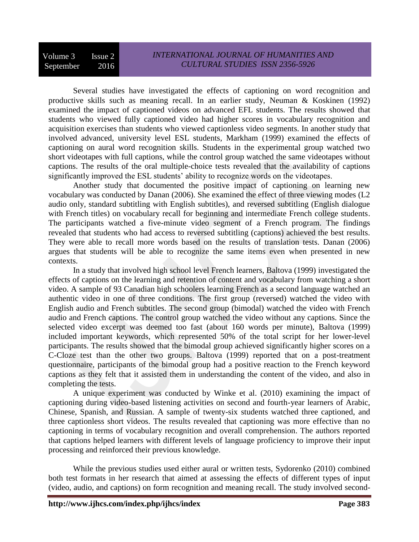Several studies have investigated the effects of captioning on word recognition and productive skills such as meaning recall. In an earlier study, Neuman & Koskinen (1992) examined the impact of captioned videos on advanced EFL students. The results showed that students who viewed fully captioned video had higher scores in vocabulary recognition and acquisition exercises than students who viewed captionless video segments. In another study that involved advanced, university level ESL students, Markham (1999) examined the effects of captioning on aural word recognition skills. Students in the experimental group watched two short videotapes with full captions, while the control group watched the same videotapes without captions. The results of the oral multiple-choice tests revealed that the availability of captions significantly improved the ESL students' ability to recognize words on the videotapes.

Another study that documented the positive impact of captioning on learning new vocabulary was conducted by Danan (2006). She examined the effect of three viewing modes (L2 audio only, standard subtitling with English subtitles), and reversed subtitling (English dialogue with French titles) on vocabulary recall for beginning and intermediate French college students. The participants watched a five-minute video segment of a French program. The findings revealed that students who had access to reversed subtitling (captions) achieved the best results. They were able to recall more words based on the results of translation tests. Danan (2006) argues that students will be able to recognize the same items even when presented in new contexts.

In a study that involved high school level French learners, Baltova (1999) investigated the effects of captions on the learning and retention of content and vocabulary from watching a short video. A sample of 93 Canadian high schoolers learning French as a second language watched an authentic video in one of three conditions. The first group (reversed) watched the video with English audio and French subtitles. The second group (bimodal) watched the video with French audio and French captions. The control group watched the video without any captions. Since the selected video excerpt was deemed too fast (about 160 words per minute), Baltova (1999) included important keywords, which represented 50% of the total script for her lower-level participants. The results showed that the bimodal group achieved significantly higher scores on a C-Cloze test than the other two groups. Baltova (1999) reported that on a post-treatment questionnaire, participants of the bimodal group had a positive reaction to the French keyword captions as they felt that it assisted them in understanding the content of the video, and also in completing the tests.

A unique experiment was conducted by Winke et al. (2010) examining the impact of captioning during video-based listening activities on second and fourth-year learners of Arabic, Chinese, Spanish, and Russian. A sample of twenty-six students watched three captioned, and three captionless short videos. The results revealed that captioning was more effective than no captioning in terms of vocabulary recognition and overall comprehension. The authors reported that captions helped learners with different levels of language proficiency to improve their input processing and reinforced their previous knowledge.

While the previous studies used either aural or written tests, Sydorenko (2010) combined both test formats in her research that aimed at assessing the effects of different types of input (video, audio, and captions) on form recognition and meaning recall. The study involved second-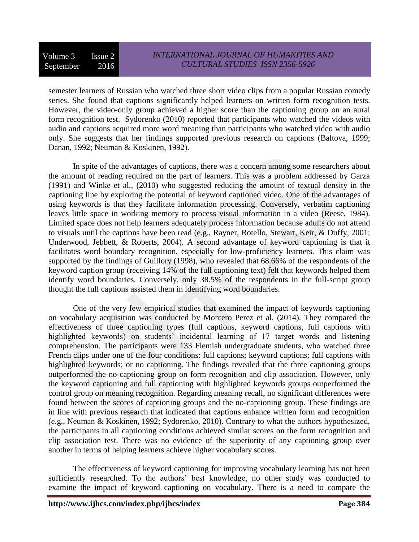semester learners of Russian who watched three short video clips from a popular Russian comedy series. She found that captions significantly helped learners on written form recognition tests. However, the video-only group achieved a higher score than the captioning group on an aural form recognition test. Sydorenko (2010) reported that participants who watched the videos with audio and captions acquired more word meaning than participants who watched video with audio only. She suggests that her findings supported previous research on captions (Baltova, 1999; Danan, 1992; Neuman & Koskinen, 1992).

In spite of the advantages of captions, there was a concern among some researchers about the amount of reading required on the part of learners. This was a problem addressed by Garza (1991) and Winke et al., (2010) who suggested reducing the amount of textual density in the captioning line by exploring the potential of keyword captioned video. One of the advantages of using keywords is that they facilitate information processing. Conversely, verbatim captioning leaves little space in working memory to process visual information in a video (Reese, 1984). Limited space does not help learners adequately process information because adults do not attend to visuals until the captions have been read (e.g., Rayner, Rotello, Stewart, Keir, & Duffy, 2001; Underwood, Jebbett, & Roberts, 2004). A second advantage of keyword captioning is that it facilitates word boundary recognition, especially for low-proficiency learners. This claim was supported by the findings of Guillory (1998), who revealed that 68.66% of the respondents of the keyword caption group (receiving 14% of the full captioning text) felt that keywords helped them identify word boundaries. Conversely, only 38.5% of the respondents in the full-script group thought the full captions assisted them in identifying word boundaries.

One of the very few empirical studies that examined the impact of keywords captioning on vocabulary acquisition was conducted by Montero Perez et al. (2014). They compared the effectiveness of three captioning types (full captions, keyword captions, full captions with highlighted keywords) on students' incidental learning of 17 target words and listening comprehension. The participants were 133 Flemish undergraduate students, who watched three French clips under one of the four conditions: full captions; keyword captions; full captions with highlighted keywords; or no captioning. The findings revealed that the three captioning groups outperformed the no-captioning group on form recognition and clip association. However, only the keyword captioning and full captioning with highlighted keywords groups outperformed the control group on meaning recognition. Regarding meaning recall, no significant differences were found between the scores of captioning groups and the no-captioning group. These findings are in line with previous research that indicated that captions enhance written form and recognition (e.g., Neuman & Koskinen, 1992; Sydorenko, 2010). Contrary to what the authors hypothesized, the participants in all captioning conditions achieved similar scores on the form recognition and clip association test. There was no evidence of the superiority of any captioning group over another in terms of helping learners achieve higher vocabulary scores.

The effectiveness of keyword captioning for improving vocabulary learning has not been sufficiently researched. To the authors' best knowledge, no other study was conducted to examine the impact of keyword captioning on vocabulary. There is a need to compare the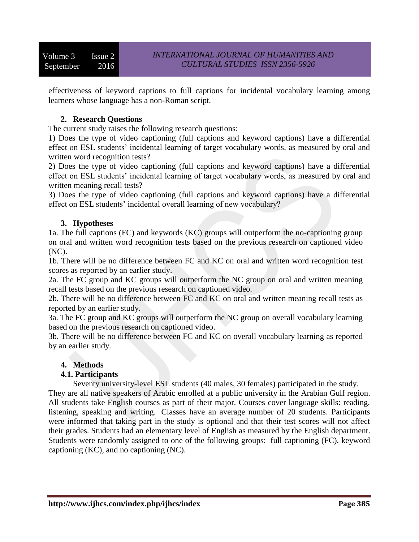effectiveness of keyword captions to full captions for incidental vocabulary learning among learners whose language has a non-Roman script.

## **2. Research Questions**

The current study raises the following research questions:

1) Does the type of video captioning (full captions and keyword captions) have a differential effect on ESL students' incidental learning of target vocabulary words, as measured by oral and written word recognition tests?

2) Does the type of video captioning (full captions and keyword captions) have a differential effect on ESL students' incidental learning of target vocabulary words, as measured by oral and written meaning recall tests?

3) Does the type of video captioning (full captions and keyword captions) have a differential effect on ESL students' incidental overall learning of new vocabulary?

## **3. Hypotheses**

1a. The full captions (FC) and keywords (KC) groups will outperform the no-captioning group on oral and written word recognition tests based on the previous research on captioned video (NC).

1b. There will be no difference between FC and KC on oral and written word recognition test scores as reported by an earlier study.

2a. The FC group and KC groups will outperform the NC group on oral and written meaning recall tests based on the previous research on captioned video.

2b. There will be no difference between FC and KC on oral and written meaning recall tests as reported by an earlier study.

3a. The FC group and KC groups will outperform the NC group on overall vocabulary learning based on the previous research on captioned video.

3b. There will be no difference between FC and KC on overall vocabulary learning as reported by an earlier study.

## **4. Methods**

## **4.1. Participants**

Seventy university-level ESL students (40 males, 30 females) participated in the study. They are all native speakers of Arabic enrolled at a public university in the Arabian Gulf region. All students take English courses as part of their major. Courses cover language skills: reading, listening, speaking and writing. Classes have an average number of 20 students. Participants were informed that taking part in the study is optional and that their test scores will not affect their grades. Students had an elementary level of English as measured by the English department. Students were randomly assigned to one of the following groups: full captioning (FC), keyword captioning (KC), and no captioning (NC).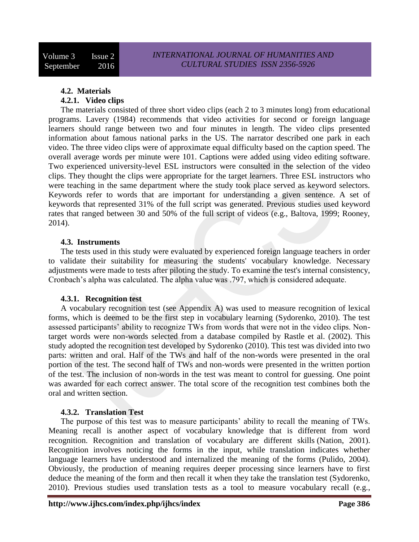## **4.2. Materials**

## **4.2.1. Video clips**

The materials consisted of three short video clips (each 2 to 3 minutes long) from educational programs. Lavery (1984) recommends that video activities for second or foreign language learners should range between two and four minutes in length. The video clips presented information about famous national parks in the US. The narrator described one park in each video. The three video clips were of approximate equal difficulty based on the caption speed. The overall average words per minute were 101. Captions were added using video editing software. Two experienced university-level ESL instructors were consulted in the selection of the video clips. They thought the clips were appropriate for the target learners. Three ESL instructors who were teaching in the same department where the study took place served as keyword selectors. Keywords refer to words that are important for understanding a given sentence. A set of keywords that represented 31% of the full script was generated. Previous studies used keyword rates that ranged between 30 and 50% of the full script of videos (e.g., Baltova, 1999; Rooney, 2014).

## **4.3. Instruments**

The tests used in this study were evaluated by experienced foreign language teachers in order to validate their suitability for measuring the students' vocabulary knowledge. Necessary adjustments were made to tests after piloting the study. To examine the test's internal consistency, Cronbach's alpha was calculated. The alpha value was .797, which is considered adequate.

## **4.3.1. Recognition test**

A vocabulary recognition test (see Appendix A) was used to measure recognition of lexical forms, which is deemed to be the first step in vocabulary learning (Sydorenko, 2010). The test assessed participants' ability to recognize TWs from words that were not in the video clips. Nontarget words were non-words selected from a database compiled by Rastle et al. (2002). This study adopted the recognition test developed by Sydorenko (2010). This test was divided into two parts: written and oral. Half of the TWs and half of the non-words were presented in the oral portion of the test. The second half of TWs and non-words were presented in the written portion of the test. The inclusion of non-words in the test was meant to control for guessing. One point was awarded for each correct answer. The total score of the recognition test combines both the oral and written section.

## **4.3.2. Translation Test**

The purpose of this test was to measure participants' ability to recall the meaning of TWs. Meaning recall is another aspect of vocabulary knowledge that is different from word recognition. Recognition and translation of vocabulary are different skills (Nation, 2001). Recognition involves noticing the forms in the input, while translation indicates whether language learners have understood and internalized the meaning of the forms (Pulido, 2004). Obviously, the production of meaning requires deeper processing since learners have to first deduce the meaning of the form and then recall it when they take the translation test (Sydorenko, 2010). Previous studies used translation tests as a tool to measure vocabulary recall (e.g.,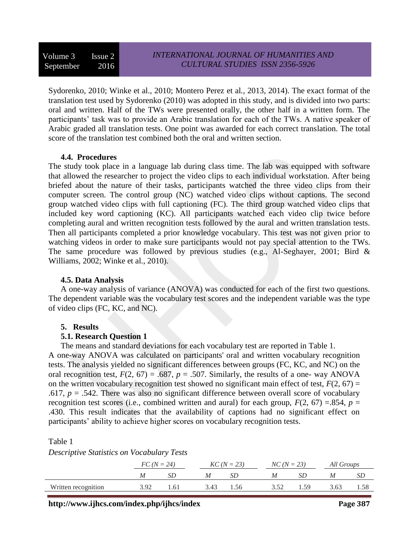Volume 3 Issue 2 September 2016

Sydorenko, 2010; Winke et al., 2010; Montero Perez et al*.*, 2013, 2014). The exact format of the translation test used by Sydorenko (2010) was adopted in this study, and is divided into two parts: oral and written. Half of the TWs were presented orally, the other half in a written form. The participants' task was to provide an Arabic translation for each of the TWs. A native speaker of Arabic graded all translation tests. One point was awarded for each correct translation. The total score of the translation test combined both the oral and written section.

#### **4.4. Procedures**

The study took place in a language lab during class time. The lab was equipped with software that allowed the researcher to project the video clips to each individual workstation. After being briefed about the nature of their tasks, participants watched the three video clips from their computer screen. The control group (NC) watched video clips without captions. The second group watched video clips with full captioning (FC). The third group watched video clips that included key word captioning (KC). All participants watched each video clip twice before completing aural and written recognition tests followed by the aural and written translation tests. Then all participants completed a prior knowledge vocabulary. This test was not given prior to watching videos in order to make sure participants would not pay special attention to the TWs. The same procedure was followed by previous studies (e.g., Al-Seghayer, 2001; Bird & Williams, 2002; Winke et al., 2010).

#### **4.5. Data Analysis**

A one-way analysis of variance (ANOVA) was conducted for each of the first two questions. The dependent variable was the vocabulary test scores and the independent variable was the type of video clips (FC, KC, and NC).

#### **5. Results**

#### **5.1. Research Question 1**

The means and standard deviations for each vocabulary test are reported in Table 1.

A one-way ANOVA was calculated on participants' oral and written vocabulary recognition tests. The analysis yielded no significant differences between groups (FC, KC, and NC) on the oral recognition test,  $F(2, 67) = .687$ ,  $p = .507$ . Similarly, the results of a one- way ANOVA on the written vocabulary recognition test showed no significant main effect of test,  $F(2, 67) =$ .617,  $p = .542$ . There was also no significant difference between overall score of vocabulary recognition test scores (i.e., combined written and aural) for each group,  $F(2, 67) = .854$ ,  $p =$ .430. This result indicates that the availability of captions had no significant effect on participants' ability to achieve higher scores on vocabulary recognition tests.

Table 1

*Descriptive Statistics on Vocabulary Tests*

|                     | $FC (N = 24)$ |     | $KC (N = 23)$ |     | $NC(N = 23)$ |    | All Groups |  |
|---------------------|---------------|-----|---------------|-----|--------------|----|------------|--|
|                     |               |     | M             |     |              |    | M          |  |
| Written recognition | 3.92          | .61 | 3.43          | .56 |              | 59 | 3.63       |  |

**http://www.ijhcs.com/index.php/ijhcs/index Page 387**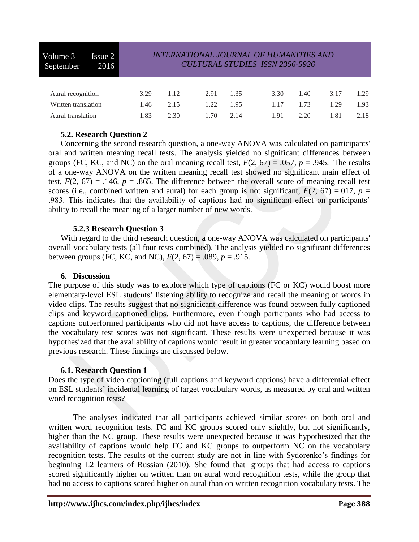| Volume 3<br>Issue 2<br>2016<br>September | <i><b>INTERNATIONAL JOURNAL OF HUMANITIES AND</b></i><br><b>CULTURAL STUDIES ISSN 2356-5926</b> |      |      |      |      |              |      |  |
|------------------------------------------|-------------------------------------------------------------------------------------------------|------|------|------|------|--------------|------|--|
|                                          |                                                                                                 |      |      |      |      |              |      |  |
| Aural recognition                        | 3.29                                                                                            | 1.12 | 2.91 | 1.35 | 3.30 | 1.40<br>3.17 | 1.29 |  |
| Written translation                      | 1.46                                                                                            | 2.15 | 122  | 1.95 | 1.17 | 1.73<br>1.29 | 1.93 |  |
| Aural translation                        | 1.83                                                                                            | 2.30 | 1.70 | 2.14 | 1.91 | 2.20<br>1.81 | 2.18 |  |

## **5.2. Research Question 2**

Concerning the second research question, a one-way ANOVA was calculated on participants' oral and written meaning recall tests. The analysis yielded no significant differences between groups (FC, KC, and NC) on the oral meaning recall test,  $F(2, 67) = .057$ ,  $p = .945$ . The results of a one-way ANOVA on the written meaning recall test showed no significant main effect of test,  $F(2, 67) = .146$ ,  $p = .865$ . The difference between the overall score of meaning recall test scores (i.e., combined written and aural) for each group is not significant,  $F(2, 67) = 0.017$ ,  $p =$ .983. This indicates that the availability of captions had no significant effect on participants' ability to recall the meaning of a larger number of new words.

#### **5.2.3 Research Question 3**

 With regard to the third research question, a one-way ANOVA was calculated on participants' overall vocabulary tests (all four tests combined). The analysis yielded no significant differences between groups (FC, KC, and NC),  $F(2, 67) = .089$ ,  $p = .915$ .

#### **6. Discussion**

The purpose of this study was to explore which type of captions (FC or KC) would boost more elementary-level ESL students' listening ability to recognize and recall the meaning of words in video clips. The results suggest that no significant difference was found between fully captioned clips and keyword captioned clips. Furthermore, even though participants who had access to captions outperformed participants who did not have access to captions, the difference between the vocabulary test scores was not significant. These results were unexpected because it was hypothesized that the availability of captions would result in greater vocabulary learning based on previous research. These findings are discussed below.

## **6.1. Research Question 1**

Does the type of video captioning (full captions and keyword captions) have a differential effect on ESL students' incidental learning of target vocabulary words, as measured by oral and written word recognition tests?

The analyses indicated that all participants achieved similar scores on both oral and written word recognition tests. FC and KC groups scored only slightly, but not significantly, higher than the NC group. These results were unexpected because it was hypothesized that the availability of captions would help FC and KC groups to outperform NC on the vocabulary recognition tests. The results of the current study are not in line with Sydorenko's findings for beginning L2 learners of Russian (2010). She found that groups that had access to captions scored significantly higher on written than on aural word recognition tests, while the group that had no access to captions scored higher on aural than on written recognition vocabulary tests. The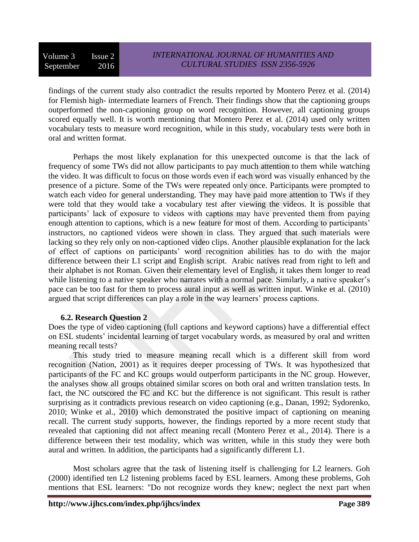findings of the current study also contradict the results reported by Montero Perez et al. (2014) for Flemish high- intermediate learners of French. Their findings show that the captioning groups outperformed the non-captioning group on word recognition. However, all captioning groups scored equally well. It is worth mentioning that Montero Perez et al. (2014) used only written vocabulary tests to measure word recognition, while in this study, vocabulary tests were both in oral and written format.

Perhaps the most likely explanation for this unexpected outcome is that the lack of frequency of some TWs did not allow participants to pay much attention to them while watching the video. It was difficult to focus on those words even if each word was visually enhanced by the presence of a picture. Some of the TWs were repeated only once. Participants were prompted to watch each video for general understanding. They may have paid more attention to TWs if they were told that they would take a vocabulary test after viewing the videos. It is possible that participants' lack of exposure to videos with captions may have prevented them from paying enough attention to captions, which is a new feature for most of them. According to participants' instructors, no captioned videos were shown in class. They argued that such materials were lacking so they rely only on non-captioned video clips. Another plausible explanation for the lack of effect of captions on participants' word recognition abilities has to do with the major difference between their L1 script and English script. Arabic natives read from right to left and their alphabet is not Roman. Given their elementary level of English, it takes them longer to read while listening to a native speaker who narrates with a normal pace. Similarly, a native speaker's pace can be too fast for them to process aural input as well as written input. Winke et al. (2010) argued that script differences can play a role in the way learners' process captions.

## **6.2. Research Question 2**

Does the type of video captioning (full captions and keyword captions) have a differential effect on ESL students' incidental learning of target vocabulary words, as measured by oral and written meaning recall tests?

This study tried to measure meaning recall which is a different skill from word recognition (Nation, 2001) as it requires deeper processing of TWs. It was hypothesized that participants of the FC and KC groups would outperform participants in the NC group. However, the analyses show all groups obtained similar scores on both oral and written translation tests. In fact, the NC outscored the FC and KC but the difference is not significant. This result is rather surprising as it contradicts previous research on video captioning (e.g., Danan, 1992; Sydorenko, 2010; Winke et al., 2010) which demonstrated the positive impact of captioning on meaning recall. The current study supports, however, the findings reported by a more recent study that revealed that captioning did not affect meaning recall (Montero Perez et al., 2014). There is a difference between their test modality, which was written, while in this study they were both aural and written. In addition, the participants had a significantly different L1.

Most scholars agree that the task of listening itself is challenging for L2 learners. Goh (2000) identified ten L2 listening problems faced by ESL learners. Among these problems, Goh mentions that ESL learners: "Do not recognize words they knew; neglect the next part when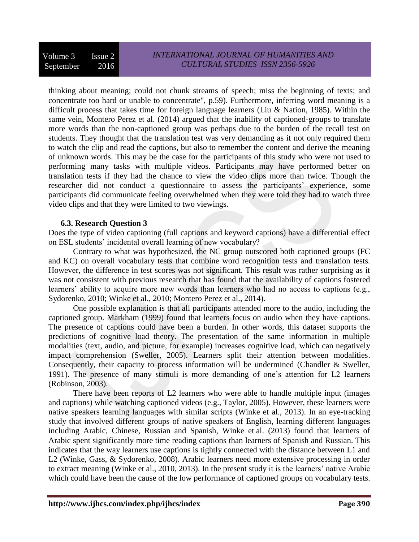thinking about meaning; could not chunk streams of speech; miss the beginning of texts; and concentrate too hard or unable to concentrate", p.59). Furthermore, inferring word meaning is a difficult process that takes time for foreign language learners (Liu & Nation, 1985). Within the same vein, Montero Perez et al. (2014) argued that the inability of captioned-groups to translate more words than the non-captioned group was perhaps due to the burden of the recall test on students. They thought that the translation test was very demanding as it not only required them to watch the clip and read the captions, but also to remember the content and derive the meaning of unknown words. This may be the case for the participants of this study who were not used to performing many tasks with multiple videos. Participants may have performed better on translation tests if they had the chance to view the video clips more than twice. Though the researcher did not conduct a questionnaire to assess the participants' experience, some participants did communicate feeling overwhelmed when they were told they had to watch three video clips and that they were limited to two viewings.

#### **6.3. Research Question 3**

Does the type of video captioning (full captions and keyword captions) have a differential effect on ESL students' incidental overall learning of new vocabulary?

Contrary to what was hypothesized, the NC group outscored both captioned groups (FC and KC) on overall vocabulary tests that combine word recognition tests and translation tests. However, the difference in test scores was not significant. This result was rather surprising as it was not consistent with previous research that has found that the availability of captions fostered learners' ability to acquire more new words than learners who had no access to captions (e.g., Sydorenko, 2010; Winke et al., 2010; Montero Perez et al., 2014).

One possible explanation is that all participants attended more to the audio, including the captioned group. Markham (1999) found that learners focus on audio when they have captions. The presence of captions could have been a burden. In other words, this dataset supports the predictions of cognitive load theory. The presentation of the same information in multiple modalities (text, audio, and picture, for example) increases cognitive load, which can negatively impact comprehension (Sweller, 2005). Learners split their attention between modalities. Consequently, their capacity to process information will be undermined (Chandler & Sweller, 1991). The presence of many stimuli is more demanding of one's attention for L2 learners (Robinson, 2003).

There have been reports of L2 learners who were able to handle multiple input (images and captions) while watching captioned videos (e.g., Taylor, 2005). However, these learners were native speakers learning languages with similar scripts (Winke et al., 2013). In an eye-tracking study that involved different groups of native speakers of English, learning different languages including Arabic, Chinese, Russian and Spanish, Winke et al. (2013) found that learners of Arabic spent significantly more time reading captions than learners of Spanish and Russian. This indicates that the way learners use captions is tightly connected with the distance between L1 and L2 (Winke, Gass, & Sydorenko, 2008). Arabic learners need more extensive processing in order to extract meaning (Winke et al., 2010, 2013). In the present study it is the learners' native Arabic which could have been the cause of the low performance of captioned groups on vocabulary tests.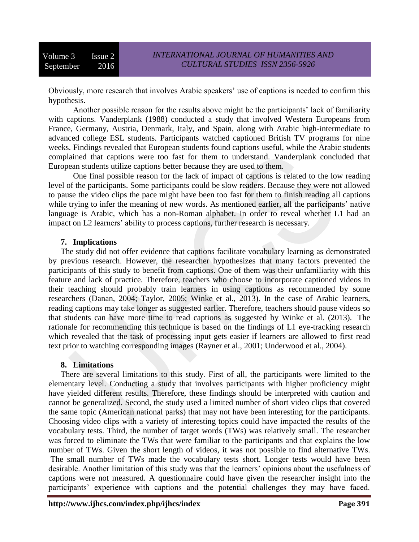Obviously, more research that involves Arabic speakers' use of captions is needed to confirm this hypothesis.

Another possible reason for the results above might be the participants' lack of familiarity with captions. Vanderplank (1988) conducted a study that involved Western Europeans from France, Germany, Austria, Denmark, Italy, and Spain, along with Arabic high-intermediate to advanced college ESL students. Participants watched captioned British TV programs for nine weeks. Findings revealed that European students found captions useful, while the Arabic students complained that captions were too fast for them to understand. Vanderplank concluded that European students utilize captions better because they are used to them.

One final possible reason for the lack of impact of captions is related to the low reading level of the participants. Some participants could be slow readers. Because they were not allowed to pause the video clips the pace might have been too fast for them to finish reading all captions while trying to infer the meaning of new words. As mentioned earlier, all the participants' native language is Arabic, which has a non-Roman alphabet. In order to reveal whether L1 had an impact on L2 learners' ability to process captions, further research is necessary.

#### **7. Implications**

The study did not offer evidence that captions facilitate vocabulary learning as demonstrated by previous research. However, the researcher hypothesizes that many factors prevented the participants of this study to benefit from captions. One of them was their unfamiliarity with this feature and lack of practice. Therefore, teachers who choose to incorporate captioned videos in their teaching should probably train learners in using captions as recommended by some researchers (Danan, 2004; Taylor, 2005; Winke et al., 2013). In the case of Arabic learners, reading captions may take longer as suggested earlier. Therefore, teachers should pause videos so that students can have more time to read captions as suggested by Winke et al. (2013). The rationale for recommending this technique is based on the findings of L1 eye-tracking research which revealed that the task of processing input gets easier if learners are allowed to first read text prior to watching corresponding images (Rayner et al., 2001; Underwood et al., 2004).

## **8. Limitations**

There are several limitations to this study. First of all, the participants were limited to the elementary level. Conducting a study that involves participants with higher proficiency might have yielded different results. Therefore, these findings should be interpreted with caution and cannot be generalized. Second, the study used a limited number of short video clips that covered the same topic (American national parks) that may not have been interesting for the participants. Choosing video clips with a variety of interesting topics could have impacted the results of the vocabulary tests. Third, the number of target words (TWs) was relatively small. The researcher was forced to eliminate the TWs that were familiar to the participants and that explains the low number of TWs. Given the short length of videos, it was not possible to find alternative TWs. The small number of TWs made the vocabulary tests short. Longer tests would have been desirable. Another limitation of this study was that the learners' opinions about the usefulness of captions were not measured. A questionnaire could have given the researcher insight into the participants' experience with captions and the potential challenges they may have faced.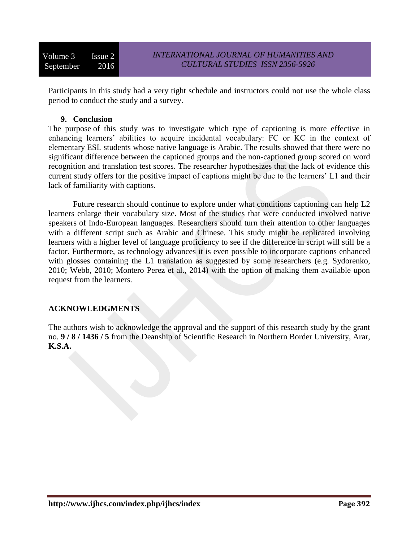Volume 3 Issue 2 September 2016

Participants in this study had a very tight schedule and instructors could not use the whole class period to conduct the study and a survey.

#### **9. Conclusion**

The purpose of this study was to investigate which type of captioning is more effective in enhancing learners' abilities to acquire incidental vocabulary: FC or KC in the context of elementary ESL students whose native language is Arabic. The results showed that there were no significant difference between the captioned groups and the non-captioned group scored on word recognition and translation test scores. The researcher hypothesizes that the lack of evidence this current study offers for the positive impact of captions might be due to the learners' L1 and their lack of familiarity with captions.

Future research should continue to explore under what conditions captioning can help L2 learners enlarge their vocabulary size. Most of the studies that were conducted involved native speakers of Indo-European languages. Researchers should turn their attention to other languages with a different script such as Arabic and Chinese. This study might be replicated involving learners with a higher level of language proficiency to see if the difference in script will still be a factor. Furthermore, as technology advances it is even possible to incorporate captions enhanced with glosses containing the L1 translation as suggested by some researchers (e.g. Sydorenko, 2010; Webb, 2010; Montero Perez et al., 2014) with the option of making them available upon request from the learners.

## **ACKNOWLEDGMENTS**

The authors wish to acknowledge the approval and the support of this research study by the grant no. **9 / 8 / 1436 / 5** from the Deanship of Scientific Research in Northern Border University, Arar, **K.S.A.**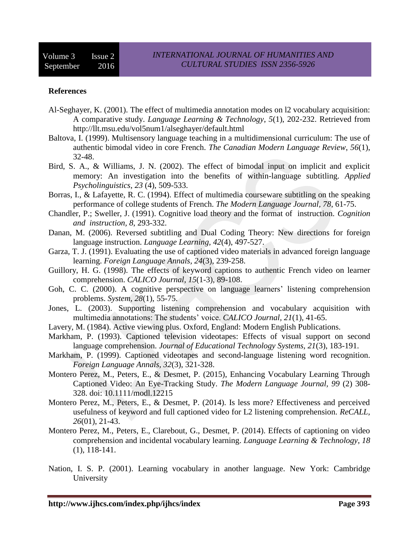#### **References**

- Al-Seghayer, K. (2001). The effect of multimedia annotation modes on l2 vocabulary acquisition: A comparative study. *Language Learning & Technology*, *5*(1), 202-232. Retrieved from http://llt.msu.edu/vol5num1/alseghayer/default.html
- Baltova, I. (1999). Multisensory language teaching in a multidimensional curriculum: The use of authentic bimodal video in core French. *The Canadian Modern Language Review*, *56*(1), 32-48.
- Bird, S. A., & Williams, J. N. (2002). The effect of bimodal input on implicit and explicit memory: An investigation into the benefits of within-language subtitling. *Applied Psycholinguistics*, *23* (4), 509-533.
- Borras, I., & Lafayette, R. C. (1994). Effect of multimedia courseware subtitling on the speaking performance of college students of French. *The Modern Language Journal, 78*, 61-75.
- Chandler, P.; Sweller, J. (1991). Cognitive load theory and the format of instruction. *Cognition and instruction, 8*, 293-332.
- Danan, M. (2006). Reversed subtitling and Dual Coding Theory: New directions for foreign language instruction. *Language Learning, 42*(4), 497-527.
- Garza, T. J. (1991). Evaluating the use of captioned video materials in advanced foreign language learning. *Foreign Language Annals, 24*(3), 239-258.
- Guillory, H. G. (1998). The effects of keyword captions to authentic French video on learner comprehension. *CALICO Journal, 15*(1-3), 89-108.
- Goh, C. C. (2000). A cognitive perspective on language learners' listening comprehension problems. *System, 28*(1), 55-75.
- Jones, L. (2003). Supporting listening comprehension and vocabulary acquisition with multimedia annotations: The students' voice. *CALICO Journal, 21*(1), 41-65.
- Lavery, M. (1984). Active viewing plus. Oxford, England: Modern English Publications.
- Markham, P. (1993). Captioned television videotapes: Effects of visual support on second language comprehension. *Journal of Educational Technology Systems, 21*(3), 183-191.
- Markham, P. (1999). Captioned videotapes and second-language listening word recognition. *Foreign Language Annals, 32*(3), 321-328.
- Montero Perez, M., Peters, E., & Desmet, P. (2015), Enhancing Vocabulary Learning Through Captioned Video: An Eye-Tracking Study. *The Modern Language Journal, 99* (2) 308- 328. doi: 10.1111/modl.12215
- Montero Perez, M., Peters, E., & Desmet, P. (2014). Is less more? Effectiveness and perceived usefulness of keyword and full captioned video for L2 listening comprehension. *ReCALL, 26*(01), 21-43.
- Montero Perez, M., Peters, E., Clarebout, G., Desmet, P. (2014). Effects of captioning on video comprehension and incidental vocabulary learning. *Language Learning & Technology*, *18* (1), 118-141.
- Nation, I. S. P. (2001). Learning vocabulary in another language. New York: Cambridge University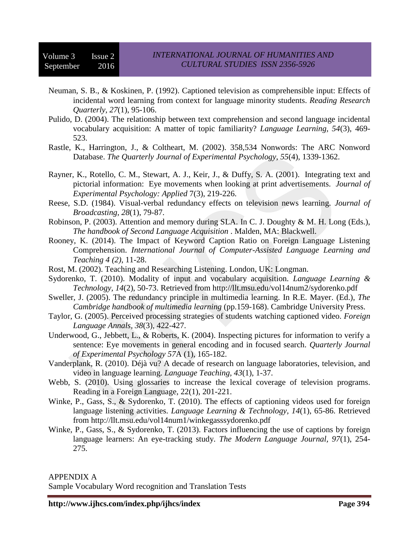- Neuman, S. B., & Koskinen, P. (1992). Captioned television as comprehensible input: Effects of incidental word learning from context for language minority students. *Reading Research Quarterly, 27*(1), 95-106.
- Pulido, D. (2004). The relationship between text comprehension and second language incidental vocabulary acquisition: A matter of topic familiarity? *Language Learning, 54*(3), 469- 523.
- Rastle, K., Harrington, J., & Coltheart, M. (2002). 358,534 Nonwords: The ARC Nonword Database. *The Quarterly Journal of Experimental Psychology*, *55*(4), 1339-1362.
- Rayner, K., Rotello, C. M., Stewart, A. J., Keir, J., & Duffy, S. A. (2001). Integrating text and pictorial information: Eye movements when looking at print advertisements. *Journal of Experimental Psychology: Applied* 7(3), 219-226.
- Reese, S.D. (1984). Visual-verbal redundancy effects on television news learning. *Journal of Broadcasting, 28*(1), 79-87.
- Robinson, P. (2003). Attention and memory during SLA. In C. J. Doughty & M. H. Long (Eds.), *The handbook of Second Language Acquisition* . Malden, MA: Blackwell.
- Rooney, K. (2014). The Impact of Keyword Caption Ratio on Foreign Language Listening Comprehension. *International Journal of Computer-Assisted Language Learning and Teaching 4 (2)*, 11-28.
- Rost, M. (2002). Teaching and Researching Listening. London, UK: Longman.
- Sydorenko, T. (2010). Modality of input and vocabulary acquisition. *Language Learning & Technology, 14*(2), 50-73. Retrieved from http://llt.msu.edu/vol14num2/sydorenko.pdf
- Sweller, J. (2005). The redundancy principle in multimedia learning. In R.E. Mayer. (Ed.), *The Cambridge handbook of multimedia learning* (pp.159-168). Cambridge University Press.
- Taylor, G. (2005). Perceived processing strategies of students watching captioned video. *Foreign Language Annals, 38*(3), 422-427.
- Underwood, G., Jebbett, L., & Roberts, K. (2004). Inspecting pictures for information to verify a sentence: Eye movements in general encoding and in focused search. *Quarterly Journal of Experimental Psychology 57*A (1), 165-182.
- Vanderplank, R. (2010). Déjà vu? A decade of research on language laboratories, television, and video in language learning. *Language Teaching, 43*(1), 1-37.
- Webb, S. (2010). Using glossaries to increase the lexical coverage of television programs. Reading in a Foreign Language, 22(1), 201-221.
- Winke, P., Gass, S., & Sydorenko, T. (2010). The effects of captioning videos used for foreign language listening activities. *Language Learning & Technology, 14*(1), 65-86. Retrieved from http://llt.msu.edu/vol14num1/winkegasssydorenko.pdf
- Winke, P., Gass, S., & Sydorenko, T. (2013). Factors influencing the use of captions by foreign language learners: An eye-tracking study. *The Modern Language Journal, 97*(1), 254- 275.

#### APPENDIX A

Sample Vocabulary Word recognition and Translation Tests